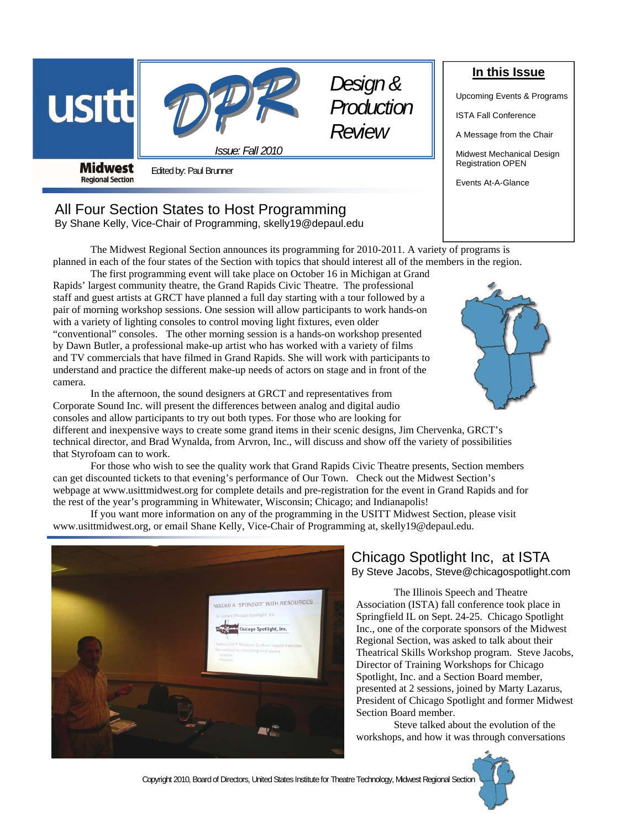



*Issue: Fall 2010* 

*Design & Production Review* 

**Midwest Regional Section** 

Edited by: Paul Brunner

# All Four Section States to Host Programming

By Shane Kelly, Vice-Chair of Programming, skelly19@depaul.edu

 The Midwest Regional Section announces its programming for 2010-2011. A variety of programs is planned in each of the four states of the Section with topics that should interest all of the members in the region.

 The first programming event will take place on October 16 in Michigan at Grand Rapids' largest community theatre, the Grand Rapids Civic Theatre. The professional staff and guest artists at GRCT have planned a full day starting with a tour followed by a pair of morning workshop sessions. One session will allow participants to work hands-on with a variety of lighting consoles to control moving light fixtures, even older "conventional" consoles. The other morning session is a hands-on workshop presented by Dawn Butler, a professional make-up artist who has worked with a variety of films and TV commercials that have filmed in Grand Rapids. She will work with participants to understand and practice the different make-up needs of actors on stage and in front of the camera.

 In the afternoon, the sound designers at GRCT and representatives from Corporate Sound Inc. will present the differences between analog and digital audio consoles and allow participants to try out both types. For those who are looking for

different and inexpensive ways to create some grand items in their scenic designs, Jim Chervenka, GRCT's technical director, and Brad Wynalda, from Arvron, Inc., will discuss and show off the variety of possibilities that Styrofoam can to work.

 For those who wish to see the quality work that Grand Rapids Civic Theatre presents, Section members can get discounted tickets to that evening's performance of Our Town. Check out the Midwest Section's webpage at www.usittmidwest.org for complete details and pre-registration for the event in Grand Rapids and for the rest of the year's programming in Whitewater, Wisconsin; Chicago; and Indianapolis!

 If you want more information on any of the programming in the USITT Midwest Section, please visit www.usittmidwest.org, or email Shane Kelly, Vice-Chair of Programming at, skelly19@depaul.edu.



# Chicago Spotlight Inc, at ISTA By Steve Jacobs, Steve@chicagospotlight.com

 The Illinois Speech and Theatre Association (ISTA) fall conference took place in Springfield IL on Sept. 24-25. Chicago Spotlight Inc., one of the corporate sponsors of the Midwest Regional Section, was asked to talk about their Theatrical Skills Workshop program. Steve Jacobs, Director of Training Workshops for Chicago Spotlight, Inc. and a Section Board member, presented at 2 sessions, joined by Marty Lazarus, President of Chicago Spotlight and former Midwest Section Board member.

 Steve talked about the evolution of the workshops, and how it was through conversations

**In this Issue**

Upcoming Events & Programs

ISTA Fall Conference

A Message from the Chair

Midwest Mechanical Design Registration OPEN

Events At-A-Glance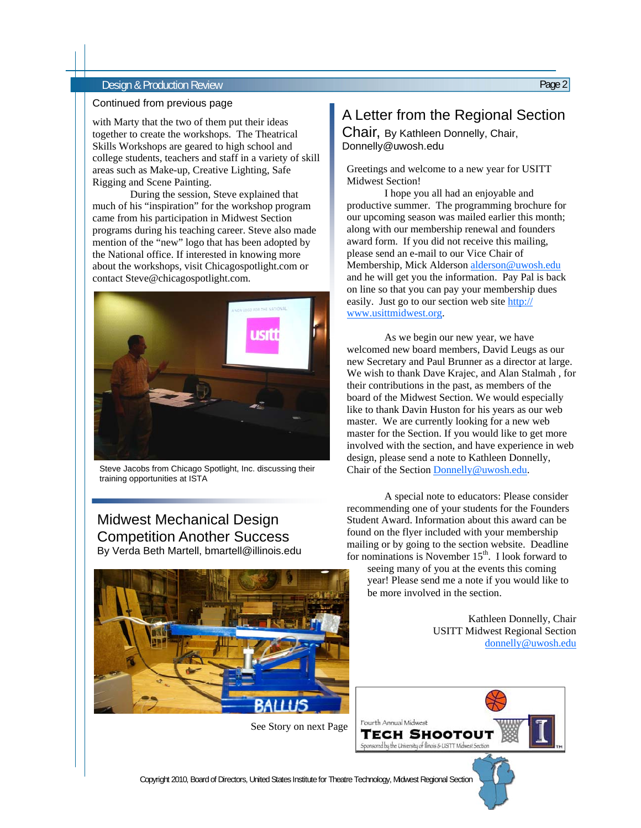#### Design & Production Review Page 2

#### Continued from previous page

with Marty that the two of them put their ideas together to create the workshops. The Theatrical Skills Workshops are geared to high school and college students, teachers and staff in a variety of skill areas such as Make-up, Creative Lighting, Safe Rigging and Scene Painting.

 During the session, Steve explained that much of his "inspiration" for the workshop program came from his participation in Midwest Section programs during his teaching career. Steve also made mention of the "new" logo that has been adopted by the National office. If interested in knowing more about the workshops, visit Chicagospotlight.com or contact Steve@chicagospotlight.com.



Steve Jacobs from Chicago Spotlight, Inc. discussing their training opportunities at ISTA

## Midwest Mechanical Design Competition Another Success By Verda Beth Martell, bmartell@illinois.edu



See Story on next Page

# A Letter from the Regional Section

Chair, By Kathleen Donnelly, Chair, Donnelly@uwosh.edu

Greetings and welcome to a new year for USITT Midwest Section!

 I hope you all had an enjoyable and productive summer. The programming brochure for our upcoming season was mailed earlier this month; along with our membership renewal and founders award form. If you did not receive this mailing, please send an e-mail to our Vice Chair of Membership, Mick Alderson alderson@uwosh.edu and he will get you the information. Pay Pal is back on line so that you can pay your membership dues easily. Just go to our section web site http:// www.usittmidwest.org.

 As we begin our new year, we have welcomed new board members, David Leugs as our new Secretary and Paul Brunner as a director at large. We wish to thank Dave Krajec, and Alan Stalmah , for their contributions in the past, as members of the board of the Midwest Section. We would especially like to thank Davin Huston for his years as our web master. We are currently looking for a new web master for the Section. If you would like to get more involved with the section, and have experience in web design, please send a note to Kathleen Donnelly, Chair of the Section Donnelly@uwosh.edu.

 A special note to educators: Please consider recommending one of your students for the Founders Student Award. Information about this award can be found on the flyer included with your membership mailing or by going to the section website. Deadline for nominations is November  $15<sup>th</sup>$ . I look forward to

seeing many of you at the events this coming year! Please send me a note if you would like to be more involved in the section.

> Kathleen Donnelly, Chair USITT Midwest Regional Section donnelly@uwosh.edu

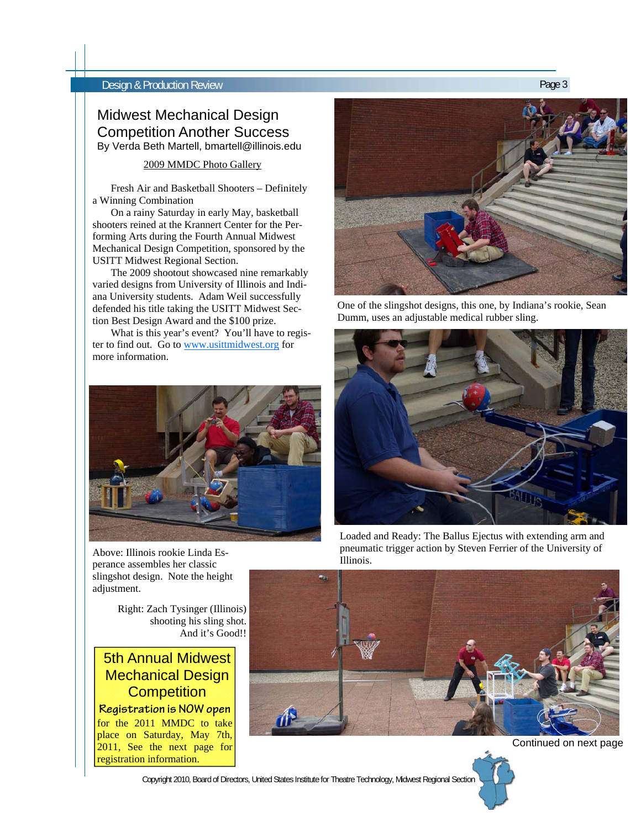#### **Design & Production Review Page 3 Design & Production Review**

### Midwest Mechanical Design Competition Another Success By Verda Beth Martell, bmartell@illinois.edu

2009 MMDC Photo Gallery

 Fresh Air and Basketball Shooters – Definitely a Winning Combination

 On a rainy Saturday in early May, basketball shooters reined at the Krannert Center for the Performing Arts during the Fourth Annual Midwest Mechanical Design Competition, sponsored by the USITT Midwest Regional Section.

 The 2009 shootout showcased nine remarkably varied designs from University of Illinois and Indiana University students. Adam Weil successfully defended his title taking the USITT Midwest Section Best Design Award and the \$100 prize.

 What is this year's event? You'll have to register to find out. Go to www.usittmidwest.org for more information.



Above: Illinois rookie Linda Esperance assembles her classic slingshot design. Note the height adjustment.

> Right: Zach Tysinger (Illinois) shooting his sling shot. And it's Good!!

# 5th Annual Midwest Mechanical Design **Competition**

**Registration is NOW open**  for the 2011 MMDC to take place on Saturday, May 7th, 2011, See the next page for registration information.



One of the slingshot designs, this one, by Indiana's rookie, Sean Dumm, uses an adjustable medical rubber sling.



Loaded and Ready: The Ballus Ejectus with extending arm and pneumatic trigger action by Steven Ferrier of the University of Illinois.





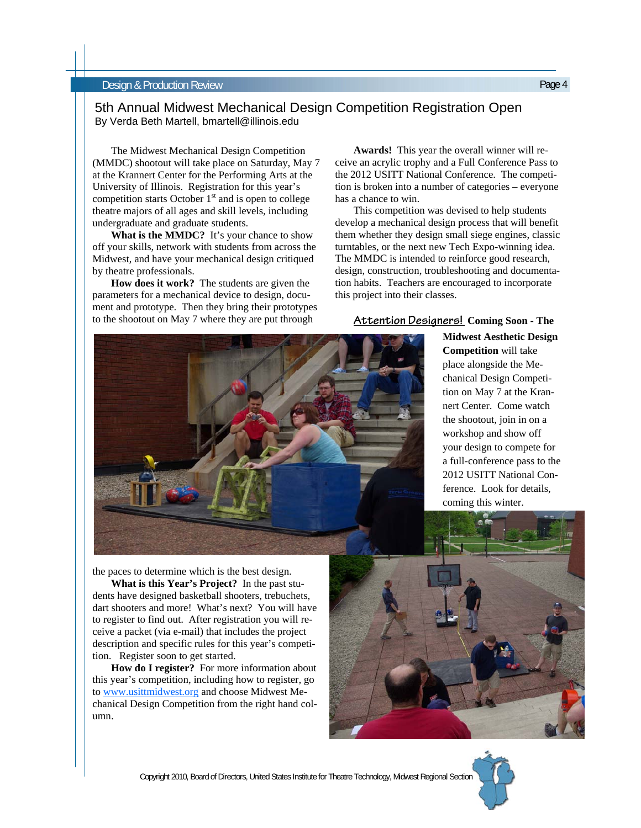#### Design & Production Review Page 4

#### 5th Annual Midwest Mechanical Design Competition Registration Open By Verda Beth Martell, bmartell@illinois.edu

(MMDC) shootout will take place on Saturday, May 7 at the Krannert Center for the Performing Arts at the University of Illinois. Registration for this year's competition starts October  $1<sup>st</sup>$  and is open to college theatre majors of all ages and skill levels, including undergraduate and graduate students.

 **What is the MMDC?** It's your chance to show off your skills, network with students from across the Midwest, and have your mechanical design critiqued by theatre professionals.

 **How does it work?** The students are given the parameters for a mechanical device to design, document and prototype. Then they bring their prototypes to the shootout on May 7 where they are put through

the paces to determine which is the best design.  **What is this Year's Project?** In the past students have designed basketball shooters, trebuchets, dart shooters and more! What's next? You will have to register to find out. After registration you will receive a packet (via e-mail) that includes the project description and specific rules for this year's competi-

 **How do I register?** For more information about

tion. Register soon to get started.

umn.

 **Awards!** This year the overall winner will receive an acrylic trophy and a Full Conference Pass to the 2012 USITT National Conference. The competition is broken into a number of categories – everyone has a chance to win.

 This competition was devised to help students develop a mechanical design process that will benefit them whether they design small siege engines, classic turntables, or the next new Tech Expo-winning idea. The MMDC is intended to reinforce good research, design, construction, troubleshooting and documentation habits. Teachers are encouraged to incorporate this project into their classes.

#### **Attention Designers! Coming Soon - The**

**Midwest Aesthetic Design Competition** will take place alongside the Mechanical Design Competition on May 7 at the Krannert Center. Come watch the shootout, join in on a workshop and show off your design to compete for a full-conference pass to the 2012 USITT National Conference. Look for details, coming this winter.





# The Midwest Mechanical Design Competition